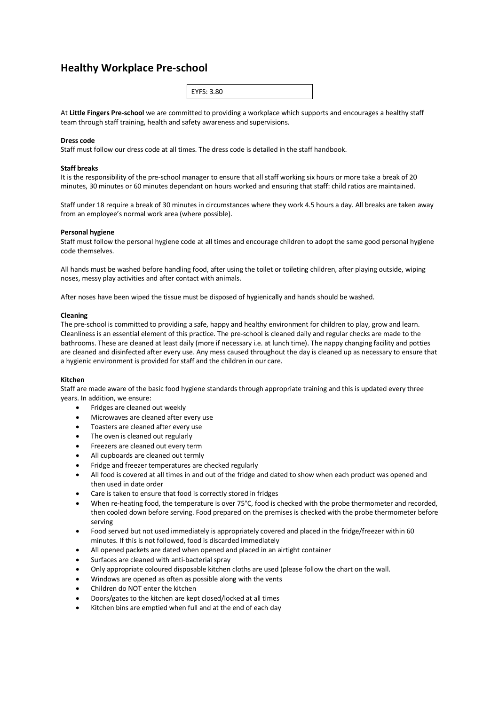# **Healthy Workplace Pre-school**

| $T = 20$<br>— ∪ن. ـ |
|---------------------|
|---------------------|

At **Little Fingers Pre-school** we are committed to providing a workplace which supports and encourages a healthy staff team through staff training, health and safety awareness and supervisions.

# **Dress code**

Staff must follow our dress code at all times. The dress code is detailed in the staff handbook.

#### **Staff breaks**

It is the responsibility of the pre-school manager to ensure that all staff working six hours or more take a break of 20 minutes, 30 minutes or 60 minutes dependant on hours worked and ensuring that staff: child ratios are maintained.

Staff under 18 require a break of 30 minutes in circumstances where they work 4.5 hours a day. All breaks are taken away from an employee's normal work area (where possible).

# **Personal hygiene**

Staff must follow the personal hygiene code at all times and encourage children to adopt the same good personal hygiene code themselves.

All hands must be washed before handling food, after using the toilet or toileting children, after playing outside, wiping noses, messy play activities and after contact with animals.

After noses have been wiped the tissue must be disposed of hygienically and hands should be washed.

#### **Cleaning**

The pre-school is committed to providing a safe, happy and healthy environment for children to play, grow and learn. Cleanliness is an essential element of this practice. The pre-school is cleaned daily and regular checks are made to the bathrooms. These are cleaned at least daily (more if necessary i.e. at lunch time). The nappy changing facility and potties are cleaned and disinfected after every use. Any mess caused throughout the day is cleaned up as necessary to ensure that a hygienic environment is provided for staff and the children in our care.

## **Kitchen**

Staff are made aware of the basic food hygiene standards through appropriate training and this is updated every three years. In addition, we ensure:

- Fridges are cleaned out weekly
- Microwaves are cleaned after every use
- Toasters are cleaned after every use
- The oven is cleaned out regularly
- Freezers are cleaned out every term
- All cupboards are cleaned out termly
- Fridge and freezer temperatures are checked regularly
- All food is covered at all times in and out of the fridge and dated to show when each product was opened and then used in date order
- Care is taken to ensure that food is correctly stored in fridges
- When re-heating food, the temperature is over 75°C, food is checked with the probe thermometer and recorded, then cooled down before serving. Food prepared on the premises is checked with the probe thermometer before serving
- Food served but not used immediately is appropriately covered and placed in the fridge/freezer within 60 minutes. If this is not followed, food is discarded immediately
- All opened packets are dated when opened and placed in an airtight container
- Surfaces are cleaned with anti-bacterial spray
- Only appropriate coloured disposable kitchen cloths are used (please follow the chart on the wall.
- Windows are opened as often as possible along with the vents
- Children do NOT enter the kitchen
- Doors/gates to the kitchen are kept closed/locked at all times
- Kitchen bins are emptied when full and at the end of each day